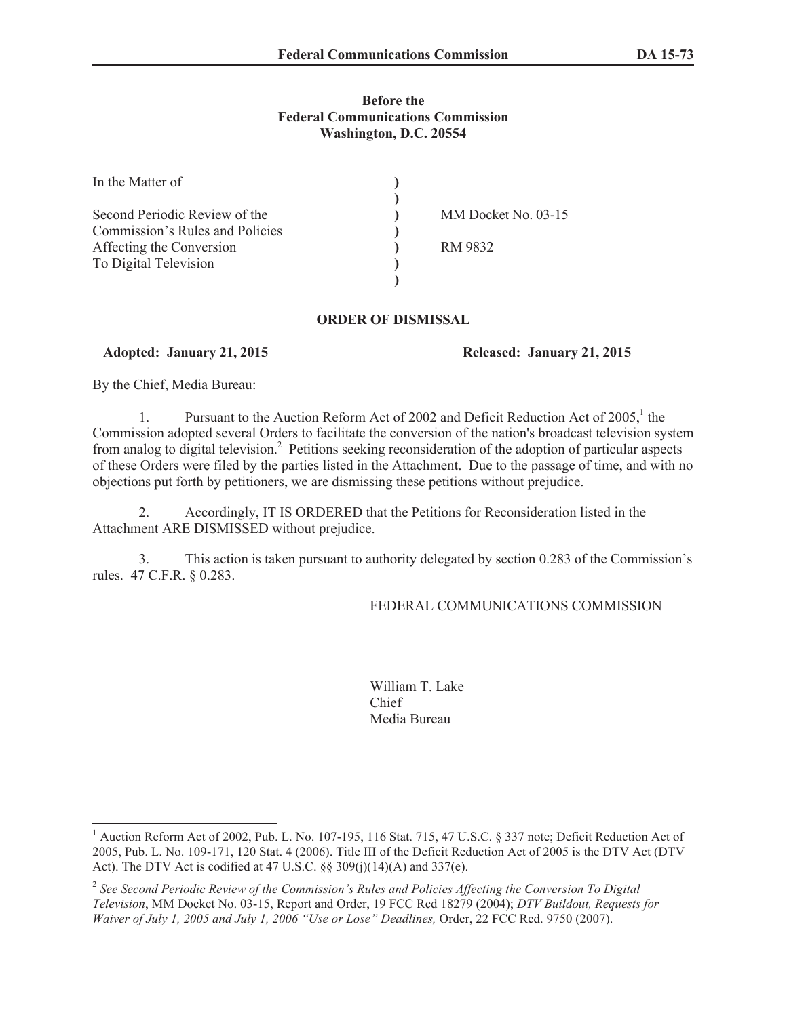### **Before the Federal Communications Commission Washington, D.C. 20554**

| In the Matter of                |                     |
|---------------------------------|---------------------|
|                                 |                     |
| Second Periodic Review of the   | MM Docket No. 03-15 |
| Commission's Rules and Policies |                     |
| Affecting the Conversion        | RM 9832             |
| To Digital Television           |                     |
|                                 |                     |

## **ORDER OF DISMISSAL**

# **Adopted: January 21, 2015 Released: January 21, 2015**

By the Chief, Media Bureau:

1. Pursuant to the Auction Reform Act of 2002 and Deficit Reduction Act of 2005,<sup>1</sup> the Commission adopted several Orders to facilitate the conversion of the nation's broadcast television system from analog to digital television.<sup>2</sup> Petitions seeking reconsideration of the adoption of particular aspects of these Orders were filed by the parties listed in the Attachment. Due to the passage of time, and with no objections put forth by petitioners, we are dismissing these petitions without prejudice.

2. Accordingly, IT IS ORDERED that the Petitions for Reconsideration listed in the Attachment ARE DISMISSED without prejudice.

3. This action is taken pursuant to authority delegated by section 0.283 of the Commission's rules. 47 C.F.R. § 0.283.

# FEDERAL COMMUNICATIONS COMMISSION

William T. Lake Chief Media Bureau

<sup>&</sup>lt;sup>1</sup> Auction Reform Act of 2002, Pub. L. No. 107-195, 116 Stat. 715, 47 U.S.C. § 337 note; Deficit Reduction Act of 2005, Pub. L. No. 109-171, 120 Stat. 4 (2006). Title III of the Deficit Reduction Act of 2005 is the DTV Act (DTV Act). The DTV Act is codified at 47 U.S.C. §§ 309(j)(14)(A) and 337(e).

<sup>&</sup>lt;sup>2</sup> See Second Periodic Review of the Commission's Rules and Policies Affecting the Conversion To Digital *Television*, MM Docket No. 03-15, Report and Order, 19 FCC Rcd 18279 (2004); *DTV Buildout, Requests for Waiver of July 1, 2005 and July 1, 2006 "Use or Lose" Deadlines,* Order, 22 FCC Rcd. 9750 (2007).